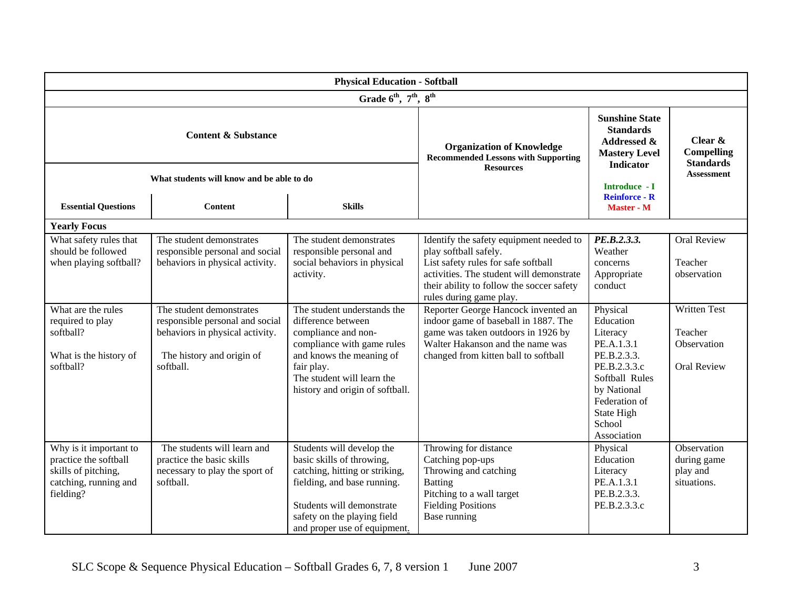| <b>Physical Education - Softball</b>                                                                         |                                                                                                                                          |                                                                                                                                                                                                                     |                                                                                                                                                                                                                             |                                                                                                                                                                         |                                                                     |  |  |  |  |
|--------------------------------------------------------------------------------------------------------------|------------------------------------------------------------------------------------------------------------------------------------------|---------------------------------------------------------------------------------------------------------------------------------------------------------------------------------------------------------------------|-----------------------------------------------------------------------------------------------------------------------------------------------------------------------------------------------------------------------------|-------------------------------------------------------------------------------------------------------------------------------------------------------------------------|---------------------------------------------------------------------|--|--|--|--|
| Grade 6 <sup>th</sup> , 7 <sup>th</sup> , 8 <sup>th</sup>                                                    |                                                                                                                                          |                                                                                                                                                                                                                     |                                                                                                                                                                                                                             |                                                                                                                                                                         |                                                                     |  |  |  |  |
| <b>Content &amp; Substance</b>                                                                               |                                                                                                                                          |                                                                                                                                                                                                                     | <b>Organization of Knowledge</b><br><b>Recommended Lessons with Supporting</b><br><b>Resources</b>                                                                                                                          | <b>Sunshine State</b><br><b>Standards</b><br>Addressed &<br><b>Mastery Level</b><br>Indicator                                                                           | Clear $\&$<br><b>Compelling</b><br><b>Standards</b>                 |  |  |  |  |
| What students will know and be able to do                                                                    |                                                                                                                                          |                                                                                                                                                                                                                     |                                                                                                                                                                                                                             | Introduce - I<br><b>Reinforce - R</b>                                                                                                                                   | <b>Assessment</b>                                                   |  |  |  |  |
| <b>Essential Questions</b>                                                                                   | <b>Content</b>                                                                                                                           | <b>Skills</b>                                                                                                                                                                                                       |                                                                                                                                                                                                                             | <b>Master - M</b>                                                                                                                                                       |                                                                     |  |  |  |  |
| <b>Yearly Focus</b>                                                                                          |                                                                                                                                          |                                                                                                                                                                                                                     |                                                                                                                                                                                                                             |                                                                                                                                                                         |                                                                     |  |  |  |  |
| What safety rules that<br>should be followed<br>when playing softball?                                       | The student demonstrates<br>responsible personal and social<br>behaviors in physical activity.                                           | The student demonstrates<br>responsible personal and<br>social behaviors in physical<br>activity.                                                                                                                   | Identify the safety equipment needed to<br>play softball safely.<br>List safety rules for safe softball<br>activities. The student will demonstrate<br>their ability to follow the soccer safety<br>rules during game play. | PE.B.2.3.3.<br>Weather<br>concerns<br>Appropriate<br>conduct                                                                                                            | <b>Oral Review</b><br>Teacher<br>observation                        |  |  |  |  |
| What are the rules<br>required to play<br>softball?<br>What is the history of<br>softball?                   | The student demonstrates<br>responsible personal and social<br>behaviors in physical activity.<br>The history and origin of<br>softball. | The student understands the<br>difference between<br>compliance and non-<br>compliance with game rules<br>and knows the meaning of<br>fair play.<br>The student will learn the<br>history and origin of softball.   | Reporter George Hancock invented an<br>indoor game of baseball in 1887. The<br>game was taken outdoors in 1926 by<br>Walter Hakanson and the name was<br>changed from kitten ball to softball                               | Physical<br>Education<br>Literacy<br>PE.A.1.3.1<br>PE.B.2.3.3.<br>PE.B.2.3.3.c<br>Softball Rules<br>by National<br>Federation of<br>State High<br>School<br>Association | <b>Written Test</b><br>Teacher<br>Observation<br><b>Oral Review</b> |  |  |  |  |
| Why is it important to<br>practice the softball<br>skills of pitching,<br>catching, running and<br>fielding? | The students will learn and<br>practice the basic skills<br>necessary to play the sport of<br>softball.                                  | Students will develop the<br>basic skills of throwing,<br>catching, hitting or striking,<br>fielding, and base running.<br>Students will demonstrate<br>safety on the playing field<br>and proper use of equipment. | Throwing for distance<br>Catching pop-ups<br>Throwing and catching<br><b>Batting</b><br>Pitching to a wall target<br><b>Fielding Positions</b><br>Base running                                                              | Physical<br>Education<br>Literacy<br>PE.A.1.3.1<br>PE.B.2.3.3.<br>PE.B.2.3.3.c                                                                                          | Observation<br>during game<br>play and<br>situations.               |  |  |  |  |